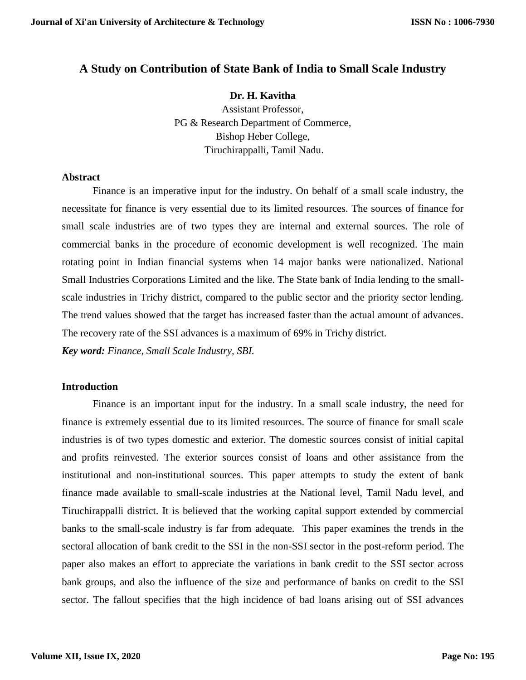# **A Study on Contribution of State Bank of India to Small Scale Industry**

### **Dr. H. Kavitha**

Assistant Professor, PG & Research Department of Commerce, Bishop Heber College, Tiruchirappalli, Tamil Nadu.

### **Abstract**

Finance is an imperative input for the industry. On behalf of a small scale industry, the necessitate for finance is very essential due to its limited resources. The sources of finance for small scale industries are of two types they are internal and external sources. The role of commercial banks in the procedure of economic development is well recognized. The main rotating point in Indian financial systems when 14 major banks were nationalized. National Small Industries Corporations Limited and the like. The State bank of India lending to the smallscale industries in Trichy district, compared to the public sector and the priority sector lending. The trend values showed that the target has increased faster than the actual amount of advances. The recovery rate of the SSI advances is a maximum of 69% in Trichy district.

*Key word: Finance, Small Scale Industry, SBI.*

#### **Introduction**

Finance is an important input for the industry. In a small scale industry, the need for finance is extremely essential due to its limited resources. The source of finance for small scale industries is of two types domestic and exterior. The domestic sources consist of initial capital and profits reinvested. The exterior sources consist of loans and other assistance from the institutional and non-institutional sources. This paper attempts to study the extent of bank finance made available to small-scale industries at the National level, Tamil Nadu level, and Tiruchirappalli district. It is believed that the working capital support extended by commercial banks to the small-scale industry is far from adequate. This paper examines the trends in the sectoral allocation of bank credit to the SSI in the non-SSI sector in the post-reform period. The paper also makes an effort to appreciate the variations in bank credit to the SSI sector across bank groups, and also the influence of the size and performance of banks on credit to the SSI sector. The fallout specifies that the high incidence of bad loans arising out of SSI advances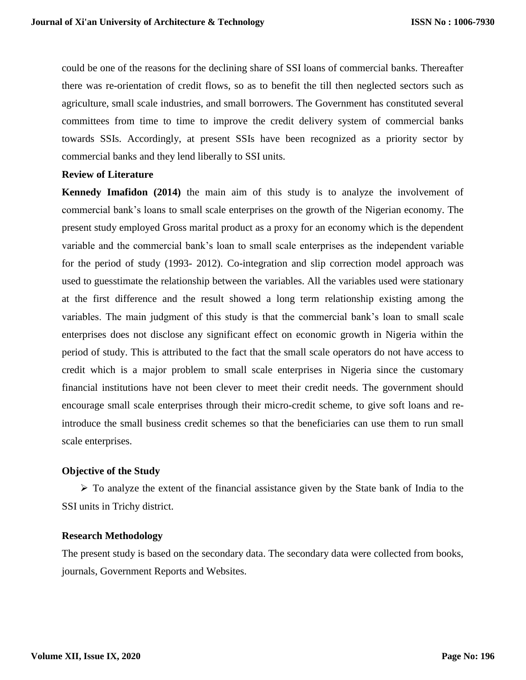could be one of the reasons for the declining share of SSI loans of commercial banks. Thereafter there was re-orientation of credit flows, so as to benefit the till then neglected sectors such as agriculture, small scale industries, and small borrowers. The Government has constituted several committees from time to time to improve the credit delivery system of commercial banks towards SSIs. Accordingly, at present SSIs have been recognized as a priority sector by commercial banks and they lend liberally to SSI units.

#### **Review of Literature**

**Kennedy Imafidon (2014)** the main aim of this study is to analyze the involvement of commercial bank's loans to small scale enterprises on the growth of the Nigerian economy. The present study employed Gross marital product as a proxy for an economy which is the dependent variable and the commercial bank's loan to small scale enterprises as the independent variable for the period of study (1993- 2012). Co-integration and slip correction model approach was used to guesstimate the relationship between the variables. All the variables used were stationary at the first difference and the result showed a long term relationship existing among the variables. The main judgment of this study is that the commercial bank's loan to small scale enterprises does not disclose any significant effect on economic growth in Nigeria within the period of study. This is attributed to the fact that the small scale operators do not have access to credit which is a major problem to small scale enterprises in Nigeria since the customary financial institutions have not been clever to meet their credit needs. The government should encourage small scale enterprises through their micro-credit scheme, to give soft loans and reintroduce the small business credit schemes so that the beneficiaries can use them to run small scale enterprises.

### **Objective of the Study**

 $\triangleright$  To analyze the extent of the financial assistance given by the State bank of India to the SSI units in Trichy district.

#### **Research Methodology**

The present study is based on the secondary data. The secondary data were collected from books, journals, Government Reports and Websites.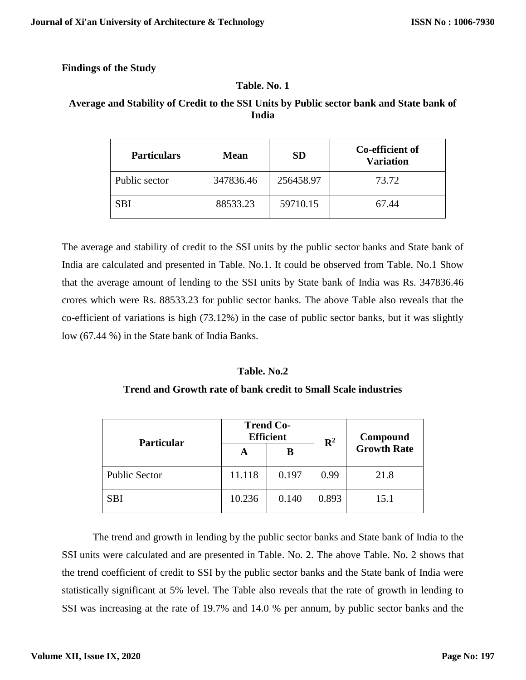## **Findings of the Study**

## **Table. No. 1**

# **Average and Stability of Credit to the SSI Units by Public sector bank and State bank of India**

| <b>Particulars</b> | <b>Mean</b> | <b>SD</b> | Co-efficient of<br><b>Variation</b> |
|--------------------|-------------|-----------|-------------------------------------|
| Public sector      | 347836.46   | 256458.97 | 73.72                               |
| SBI                | 88533.23    | 59710.15  | 67.44                               |

The average and stability of credit to the SSI units by the public sector banks and State bank of India are calculated and presented in Table. No.1. It could be observed from Table. No.1 Show that the average amount of lending to the SSI units by State bank of India was Rs. 347836.46 crores which were Rs. 88533.23 for public sector banks. The above Table also reveals that the co-efficient of variations is high (73.12%) in the case of public sector banks, but it was slightly low (67.44 %) in the State bank of India Banks.

# **Table. No.2**

### **Trend and Growth rate of bank credit to Small Scale industries**

| <b>Particular</b>    | <b>Trend Co-</b><br><b>Efficient</b> |       | $\mathbb{R}^2$ | Compound           |
|----------------------|--------------------------------------|-------|----------------|--------------------|
|                      | A                                    | В     |                | <b>Growth Rate</b> |
| <b>Public Sector</b> | 11.118                               | 0.197 | 0.99           | 21.8               |
| <b>SBI</b>           | 10.236                               | 0.140 | 0.893          | 15.1               |

The trend and growth in lending by the public sector banks and State bank of India to the SSI units were calculated and are presented in Table. No. 2. The above Table. No. 2 shows that the trend coefficient of credit to SSI by the public sector banks and the State bank of India were statistically significant at 5% level. The Table also reveals that the rate of growth in lending to SSI was increasing at the rate of 19.7% and 14.0 % per annum, by public sector banks and the